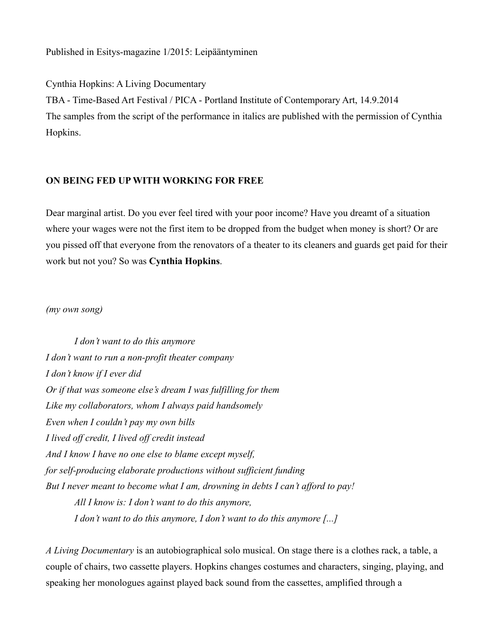Published in Esitys-magazine 1/2015: Leipääntyminen

Cynthia Hopkins: A Living Documentary

TBA - Time-Based Art Festival / PICA - Portland Institute of Contemporary Art, 14.9.2014 The samples from the script of the performance in italics are published with the permission of Cynthia Hopkins.

## **ON BEING FED UP WITH WORKING FOR FREE**

Dear marginal artist. Do you ever feel tired with your poor income? Have you dreamt of a situation where your wages were not the first item to be dropped from the budget when money is short? Or are you pissed off that everyone from the renovators of a theater to its cleaners and guards get paid for their work but not you? So was **Cynthia Hopkins**.

*(my own song)*

*I don't want to do this anymore I don't want to run a non-profit theater company I don't know if I ever did Or if that was someone else's dream I was fulfilling for them Like my collaborators, whom I always paid handsomely Even when I couldn't pay my own bills I lived off credit, I lived off credit instead And I know I have no one else to blame except myself, for self-producing elaborate productions without sufficient funding But I never meant to become what I am, drowning in debts I can't afford to pay! All I know is: I don't want to do this anymore, I don't want to do this anymore, I don't want to do this anymore [...]*

*A Living Documentary* is an autobiographical solo musical. On stage there is a clothes rack, a table, a couple of chairs, two cassette players. Hopkins changes costumes and characters, singing, playing, and speaking her monologues against played back sound from the cassettes, amplified through a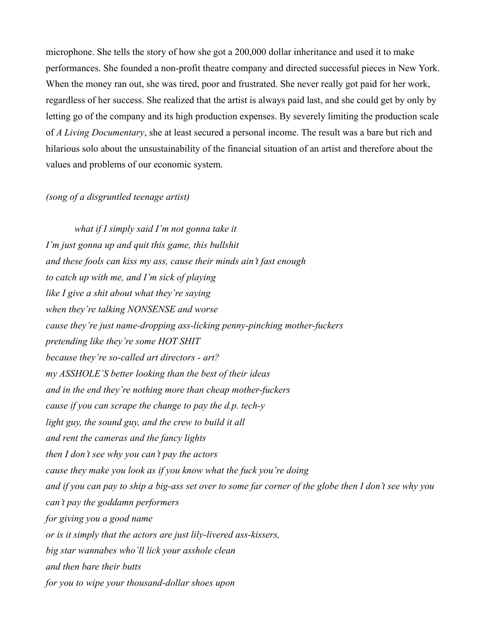microphone. She tells the story of how she got a 200,000 dollar inheritance and used it to make performances. She founded a non-profit theatre company and directed successful pieces in New York. When the money ran out, she was tired, poor and frustrated. She never really got paid for her work, regardless of her success. She realized that the artist is always paid last, and she could get by only by letting go of the company and its high production expenses. By severely limiting the production scale of *A Living Documentary*, she at least secured a personal income. The result was a bare but rich and hilarious solo about the unsustainability of the financial situation of an artist and therefore about the values and problems of our economic system.

## *(song of a disgruntled teenage artist)*

*what if I simply said I'm not gonna take it I'm just gonna up and quit this game, this bullshit and these fools can kiss my ass, cause their minds ain't fast enough to catch up with me, and I'm sick of playing like I give a shit about what they're saying when they're talking NONSENSE and worse cause they're just name-dropping ass-licking penny-pinching mother-fuckers pretending like they're some HOT SHIT because they're so-called art directors - art? my ASSHOLE'S better looking than the best of their ideas and in the end they're nothing more than cheap mother-fuckers cause if you can scrape the change to pay the d.p. tech-y light guy, the sound guy, and the crew to build it all and rent the cameras and the fancy lights then I don't see why you can't pay the actors cause they make you look as if you know what the fuck you're doing and if you can pay to ship a big-ass set over to some far corner of the globe then I don't see why you can't pay the goddamn performers for giving you a good name or is it simply that the actors are just lily-livered ass-kissers, big star wannabes who'll lick your asshole clean and then bare their butts for you to wipe your thousand-dollar shoes upon*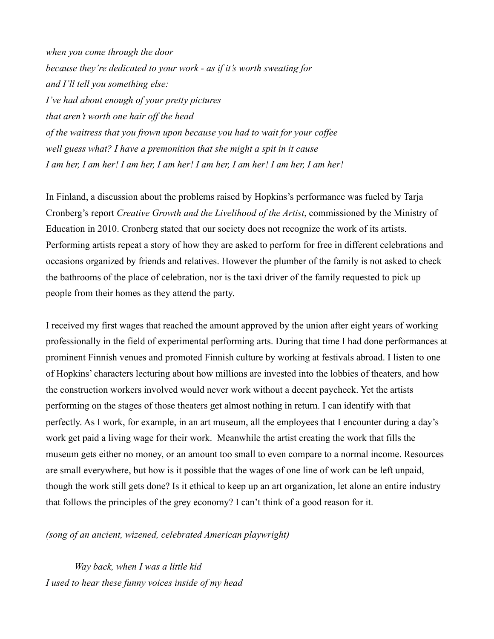*when you come through the door because they're dedicated to your work - as if it's worth sweating for and I'll tell you something else: I've had about enough of your pretty pictures that aren't worth one hair off the head of the waitress that you frown upon because you had to wait for your coffee well guess what? I have a premonition that she might a spit in it cause I am her, I am her! I am her, I am her! I am her, I am her! I am her, I am her!* 

In Finland, a discussion about the problems raised by Hopkins's performance was fueled by Tarja Cronberg's report *Creative Growth and the Livelihood of the Artist*, commissioned by the Ministry of Education in 2010. Cronberg stated that our society does not recognize the work of its artists. Performing artists repeat a story of how they are asked to perform for free in different celebrations and occasions organized by friends and relatives. However the plumber of the family is not asked to check the bathrooms of the place of celebration, nor is the taxi driver of the family requested to pick up people from their homes as they attend the party.

I received my first wages that reached the amount approved by the union after eight years of working professionally in the field of experimental performing arts. During that time I had done performances at prominent Finnish venues and promoted Finnish culture by working at festivals abroad. I listen to one of Hopkins' characters lecturing about how millions are invested into the lobbies of theaters, and how the construction workers involved would never work without a decent paycheck. Yet the artists performing on the stages of those theaters get almost nothing in return. I can identify with that perfectly. As I work, for example, in an art museum, all the employees that I encounter during a day's work get paid a living wage for their work. Meanwhile the artist creating the work that fills the museum gets either no money, or an amount too small to even compare to a normal income. Resources are small everywhere, but how is it possible that the wages of one line of work can be left unpaid, though the work still gets done? Is it ethical to keep up an art organization, let alone an entire industry that follows the principles of the grey economy? I can't think of a good reason for it.

*(song of an ancient, wizened, celebrated American playwright)*

*Way back, when I was a little kid I used to hear these funny voices inside of my head*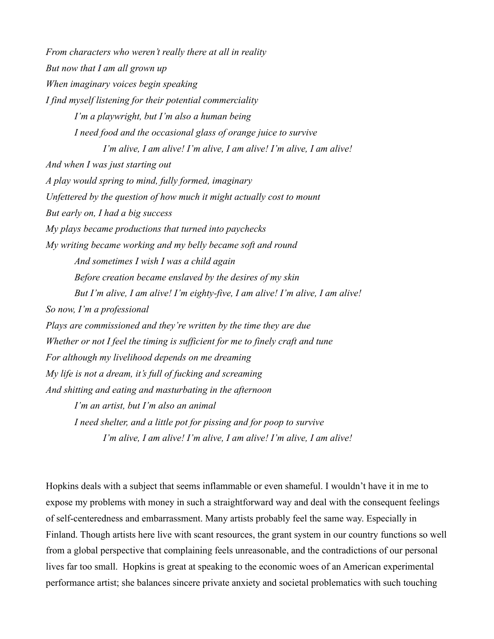*From characters who weren't really there at all in reality But now that I am all grown up When imaginary voices begin speaking I find myself listening for their potential commerciality I'm a playwright, but I'm also a human being I need food and the occasional glass of orange juice to survive I'm alive, I am alive! I'm alive, I am alive! I'm alive, I am alive! And when I was just starting out A play would spring to mind, fully formed, imaginary Unfettered by the question of how much it might actually cost to mount But early on, I had a big success My plays became productions that turned into paychecks My writing became working and my belly became soft and round And sometimes I wish I was a child again Before creation became enslaved by the desires of my skin But I'm alive, I am alive! I'm eighty-five, I am alive! I'm alive, I am alive! So now, I'm a professional Plays are commissioned and they're written by the time they are due Whether or not I feel the timing is sufficient for me to finely craft and tune For although my livelihood depends on me dreaming My life is not a dream, it's full of fucking and screaming And shitting and eating and masturbating in the afternoon I'm an artist, but I'm also an animal I need shelter, and a little pot for pissing and for poop to survive* 

*I'm alive, I am alive! I'm alive, I am alive! I'm alive, I am alive!*

Hopkins deals with a subject that seems inflammable or even shameful. I wouldn't have it in me to expose my problems with money in such a straightforward way and deal with the consequent feelings of self-centeredness and embarrassment. Many artists probably feel the same way. Especially in Finland. Though artists here live with scant resources, the grant system in our country functions so well from a global perspective that complaining feels unreasonable, and the contradictions of our personal lives far too small. Hopkins is great at speaking to the economic woes of an American experimental performance artist; she balances sincere private anxiety and societal problematics with such touching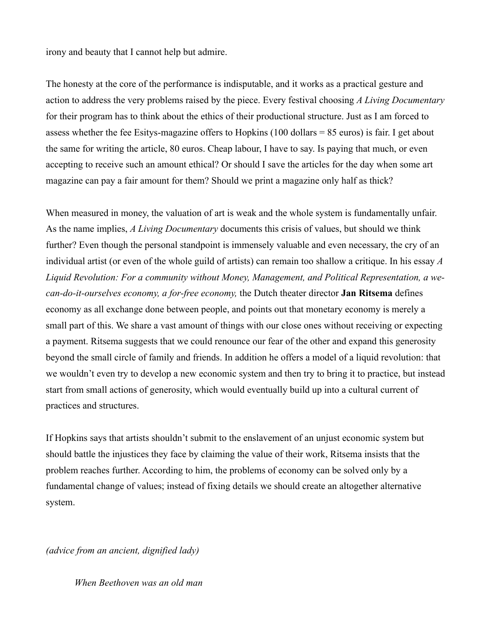irony and beauty that I cannot help but admire.

The honesty at the core of the performance is indisputable, and it works as a practical gesture and action to address the very problems raised by the piece. Every festival choosing *A Living Documentary* for their program has to think about the ethics of their productional structure. Just as I am forced to assess whether the fee Esitys-magazine offers to Hopkins  $(100 \text{ dollars} = 85 \text{ euros})$  is fair. I get about the same for writing the article, 80 euros. Cheap labour, I have to say. Is paying that much, or even accepting to receive such an amount ethical? Or should I save the articles for the day when some art magazine can pay a fair amount for them? Should we print a magazine only half as thick?

When measured in money, the valuation of art is weak and the whole system is fundamentally unfair. As the name implies, *A Living Documentary* documents this crisis of values, but should we think further? Even though the personal standpoint is immensely valuable and even necessary, the cry of an individual artist (or even of the whole guild of artists) can remain too shallow a critique. In his essay *A Liquid Revolution: For a community without Money, Management, and Political Representation, a wecan-do-it-ourselves economy, a for-free economy,* the Dutch theater director **Jan Ritsema** defines economy as all exchange done between people, and points out that monetary economy is merely a small part of this. We share a vast amount of things with our close ones without receiving or expecting a payment. Ritsema suggests that we could renounce our fear of the other and expand this generosity beyond the small circle of family and friends. In addition he offers a model of a liquid revolution: that we wouldn't even try to develop a new economic system and then try to bring it to practice, but instead start from small actions of generosity, which would eventually build up into a cultural current of practices and structures.

If Hopkins says that artists shouldn't submit to the enslavement of an unjust economic system but should battle the injustices they face by claiming the value of their work, Ritsema insists that the problem reaches further. According to him, the problems of economy can be solved only by a fundamental change of values; instead of fixing details we should create an altogether alternative system.

*(advice from an ancient, dignified lady)*

*When Beethoven was an old man*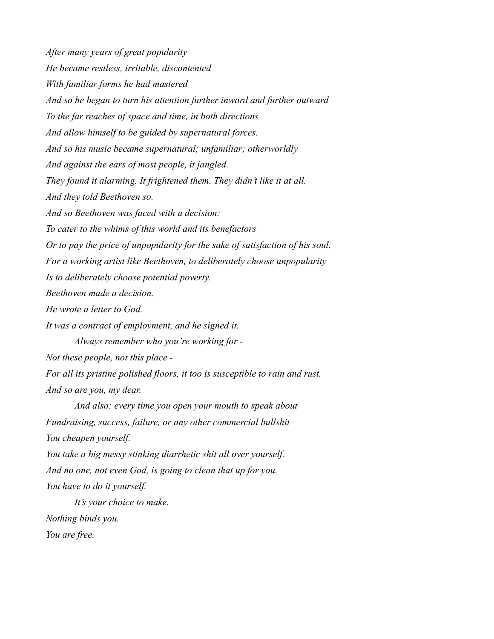*After many years of great popularity He became restless, irritable, discontented With familiar forms he had mastered And so he began to turn his attention further inward and further outward To the far reaches of space and time, in both directions And allow himself to be guided by supernatural forces. And so his music became supernatural; unfamiliar; otherworldly And against the ears of most people, it jangled. They found it alarming. It frightened them. They didn't like it at all. And they told Beethoven so. And so Beethoven was faced with a decision: To cater to the whims of this world and its benefactors Or to pay the price of unpopularity for the sake of satisfaction of his soul. For a working artist like Beethoven, to deliberately choose unpopularity Is to deliberately choose potential poverty. Beethoven made a decision. He wrote a letter to God. It was a contract of employment, and he signed it. Always remember who you're working for - Not these people, not this place - For all its pristine polished floors, it too is susceptible to rain and rust. And so are you, my dear. And also: every time you open your mouth to speak about Fundraising, success, failure, or any other commercial bullshit You cheapen yourself. You take a big messy stinking diarrhetic shit all over yourself. And no one, not even God, is going to clean that up for you. You have to do it yourself. It's your choice to make. Nothing binds you. You are free.*